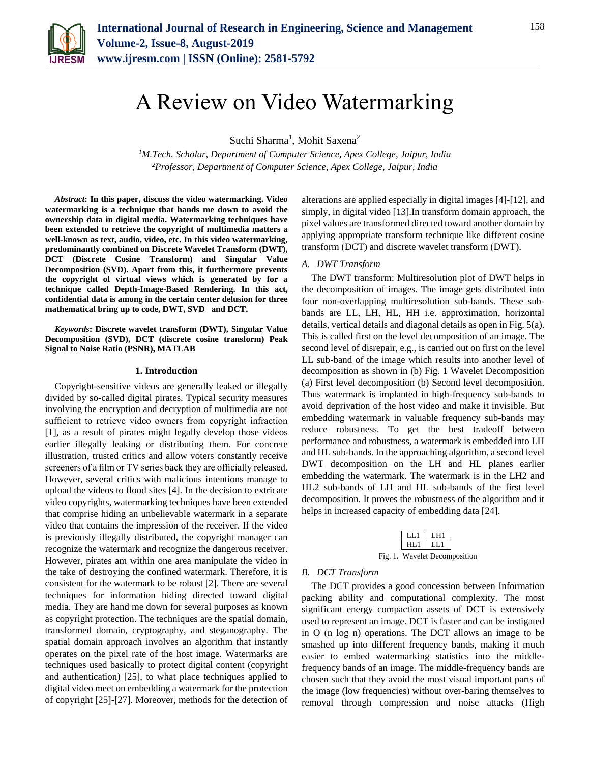

# A Review on Video Watermarking

Suchi Sharma<sup>1</sup>, Mohit Saxena<sup>2</sup>

*<sup>1</sup>M.Tech. Scholar, Department of Computer Science, Apex College, Jaipur, India <sup>2</sup>Professor, Department of Computer Science, Apex College, Jaipur, India*

*Abstract***: In this paper, discuss the video watermarking. Video watermarking is a technique that hands me down to avoid the ownership data in digital media. Watermarking techniques have been extended to retrieve the copyright of multimedia matters a well-known as text, audio, video, etc. In this video watermarking, predominantly combined on Discrete Wavelet Transform (DWT), DCT (Discrete Cosine Transform) and Singular Value Decomposition (SVD). Apart from this, it furthermore prevents the copyright of virtual views which is generated by for a technique called Depth-Image-Based Rendering. In this act, confidential data is among in the certain center delusion for three mathematical bring up to code, DWT, SVD and DCT.**

*Keywords***: Discrete wavelet transform (DWT), Singular Value Decomposition (SVD), DCT (discrete cosine transform) Peak Signal to Noise Ratio (PSNR), MATLAB**

## **1. Introduction**

Copyright-sensitive videos are generally leaked or illegally divided by so-called digital pirates. Typical security measures involving the encryption and decryption of multimedia are not sufficient to retrieve video owners from copyright infraction [1], as a result of pirates might legally develop those videos earlier illegally leaking or distributing them. For concrete illustration, trusted critics and allow voters constantly receive screeners of a film or TV series back they are officially released. However, several critics with malicious intentions manage to upload the videos to flood sites [4]. In the decision to extricate video copyrights, watermarking techniques have been extended that comprise hiding an unbelievable watermark in a separate video that contains the impression of the receiver. If the video is previously illegally distributed, the copyright manager can recognize the watermark and recognize the dangerous receiver. However, pirates am within one area manipulate the video in the take of destroying the confined watermark. Therefore, it is consistent for the watermark to be robust [2]. There are several techniques for information hiding directed toward digital media. They are hand me down for several purposes as known as copyright protection. The techniques are the spatial domain, transformed domain, cryptography, and steganography. The spatial domain approach involves an algorithm that instantly operates on the pixel rate of the host image. Watermarks are techniques used basically to protect digital content (copyright and authentication) [25], to what place techniques applied to digital video meet on embedding a watermark for the protection of copyright [25]-[27]. Moreover, methods for the detection of alterations are applied especially in digital images [4]-[12], and simply, in digital video [13].In transform domain approach, the pixel values are transformed directed toward another domain by applying appropriate transform technique like different cosine transform (DCT) and discrete wavelet transform (DWT).

# *A. DWT Transform*

The DWT transform: Multiresolution plot of DWT helps in the decomposition of images. The image gets distributed into four non-overlapping multiresolution sub-bands. These subbands are LL, LH, HL, HH i.e. approximation, horizontal details, vertical details and diagonal details as open in Fig. 5(a). This is called first on the level decomposition of an image. The second level of disrepair, e.g., is carried out on first on the level LL sub-band of the image which results into another level of decomposition as shown in (b) Fig. 1 Wavelet Decomposition (a) First level decomposition (b) Second level decomposition. Thus watermark is implanted in high-frequency sub-bands to avoid deprivation of the host video and make it invisible. But embedding watermark in valuable frequency sub-bands may reduce robustness. To get the best tradeoff between performance and robustness, a watermark is embedded into LH and HL sub-bands. In the approaching algorithm, a second level DWT decomposition on the LH and HL planes earlier embedding the watermark. The watermark is in the LH2 and HL2 sub-bands of LH and HL sub-bands of the first level decomposition. It proves the robustness of the algorithm and it helps in increased capacity of embedding data [24].



#### *B. DCT Transform*

The DCT provides a good concession between Information packing ability and computational complexity. The most significant energy compaction assets of DCT is extensively used to represent an image. DCT is faster and can be instigated in O (n log n) operations. The DCT allows an image to be smashed up into different frequency bands, making it much easier to embed watermarking statistics into the middlefrequency bands of an image. The middle-frequency bands are chosen such that they avoid the most visual important parts of the image (low frequencies) without over-baring themselves to removal through compression and noise attacks (High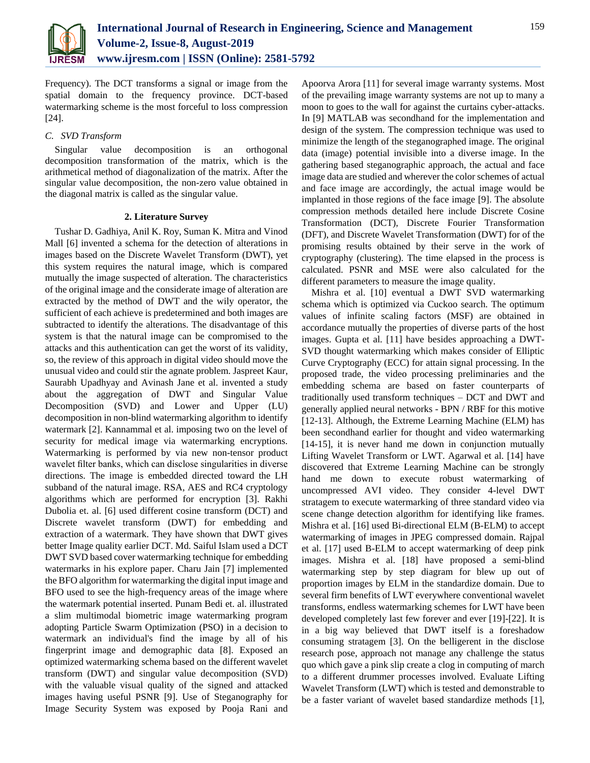

Frequency). The DCT transforms a signal or image from the spatial domain to the frequency province. DCT-based watermarking scheme is the most forceful to loss compression [24].

# *C. SVD Transform*

Singular value decomposition is an orthogonal decomposition transformation of the matrix, which is the arithmetical method of diagonalization of the matrix. After the singular value decomposition, the non-zero value obtained in the diagonal matrix is called as the singular value.

# **2. Literature Survey**

Tushar D. Gadhiya, Anil K. Roy, Suman K. Mitra and Vinod Mall [6] invented a schema for the detection of alterations in images based on the Discrete Wavelet Transform (DWT), yet this system requires the natural image, which is compared mutually the image suspected of alteration. The characteristics of the original image and the considerate image of alteration are extracted by the method of DWT and the wily operator, the sufficient of each achieve is predetermined and both images are subtracted to identify the alterations. The disadvantage of this system is that the natural image can be compromised to the attacks and this authentication can get the worst of its validity, so, the review of this approach in digital video should move the unusual video and could stir the agnate problem. Jaspreet Kaur, Saurabh Upadhyay and Avinash Jane et al. invented a study about the aggregation of DWT and Singular Value Decomposition (SVD) and Lower and Upper (LU) decomposition in non-blind watermarking algorithm to identify watermark [2]. Kannammal et al. imposing two on the level of security for medical image via watermarking encryptions. Watermarking is performed by via new non-tensor product wavelet filter banks, which can disclose singularities in diverse directions. The image is embedded directed toward the LH subband of the natural image. RSA, AES and RC4 cryptology algorithms which are performed for encryption [3]. Rakhi Dubolia et. al. [6] used different cosine transform (DCT) and Discrete wavelet transform (DWT) for embedding and extraction of a watermark. They have shown that DWT gives better Image quality earlier DCT. Md. Saiful Islam used a DCT DWT SVD based cover watermarking technique for embedding watermarks in his explore paper. Charu Jain [7] implemented the BFO algorithm for watermarking the digital input image and BFO used to see the high-frequency areas of the image where the watermark potential inserted. Punam Bedi et. al. illustrated a slim multimodal biometric image watermarking program adopting Particle Swarm Optimization (PSO) in a decision to watermark an individual's find the image by all of his fingerprint image and demographic data [8]. Exposed an optimized watermarking schema based on the different wavelet transform (DWT) and singular value decomposition (SVD) with the valuable visual quality of the signed and attacked images having useful PSNR [9]. Use of Steganography for Image Security System was exposed by Pooja Rani and

Apoorva Arora [11] for several image warranty systems. Most of the prevailing image warranty systems are not up to many a moon to goes to the wall for against the curtains cyber-attacks. In [9] MATLAB was secondhand for the implementation and design of the system. The compression technique was used to minimize the length of the steganographed image. The original data (image) potential invisible into a diverse image. In the gathering based steganographic approach, the actual and face image data are studied and wherever the color schemes of actual and face image are accordingly, the actual image would be implanted in those regions of the face image [9]. The absolute compression methods detailed here include Discrete Cosine Transformation (DCT), Discrete Fourier Transformation (DFT), and Discrete Wavelet Transformation (DWT) for of the promising results obtained by their serve in the work of cryptography (clustering). The time elapsed in the process is calculated. PSNR and MSE were also calculated for the different parameters to measure the image quality.

Mishra et al. [10] eventual a DWT SVD watermarking schema which is optimized via Cuckoo search. The optimum values of infinite scaling factors (MSF) are obtained in accordance mutually the properties of diverse parts of the host images. Gupta et al. [11] have besides approaching a DWT-SVD thought watermarking which makes consider of Elliptic Curve Cryptography (ECC) for attain signal processing. In the proposed trade, the video processing preliminaries and the embedding schema are based on faster counterparts of traditionally used transform techniques – DCT and DWT and generally applied neural networks - BPN / RBF for this motive [12-13]. Although, the Extreme Learning Machine (ELM) has been secondhand earlier for thought and video watermarking [14-15], it is never hand me down in conjunction mutually Lifting Wavelet Transform or LWT. Agarwal et al. [14] have discovered that Extreme Learning Machine can be strongly hand me down to execute robust watermarking of uncompressed AVI video. They consider 4-level DWT stratagem to execute watermarking of three standard video via scene change detection algorithm for identifying like frames. Mishra et al. [16] used Bi-directional ELM (B-ELM) to accept watermarking of images in JPEG compressed domain. Rajpal et al. [17] used B-ELM to accept watermarking of deep pink images. Mishra et al. [18] have proposed a semi-blind watermarking step by step diagram for blew up out of proportion images by ELM in the standardize domain. Due to several firm benefits of LWT everywhere conventional wavelet transforms, endless watermarking schemes for LWT have been developed completely last few forever and ever [19]-[22]. It is in a big way believed that DWT itself is a foreshadow consuming stratagem [3]. On the belligerent in the disclose research pose, approach not manage any challenge the status quo which gave a pink slip create a clog in computing of march to a different drummer processes involved. Evaluate Lifting Wavelet Transform (LWT) which is tested and demonstrable to be a faster variant of wavelet based standardize methods [1],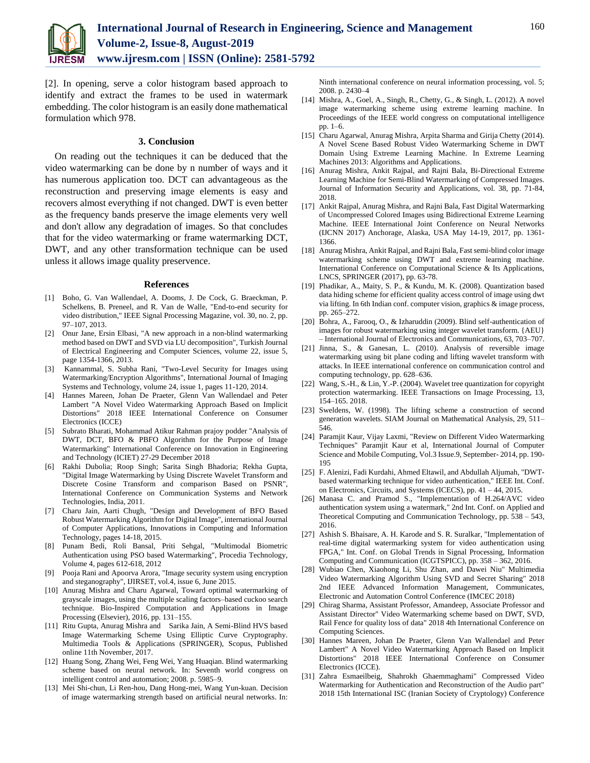

[2]. In opening, serve a color histogram based approach to identify and extract the frames to be used in watermark embedding. The color histogram is an easily done mathematical formulation which 978.

## **3. Conclusion**

On reading out the techniques it can be deduced that the video watermarking can be done by n number of ways and it has numerous application too. DCT can advantageous as the reconstruction and preserving image elements is easy and recovers almost everything if not changed. DWT is even better as the frequency bands preserve the image elements very well and don't allow any degradation of images. So that concludes that for the video watermarking or frame watermarking DCT, DWT, and any other transformation technique can be used unless it allows image quality preservence.

#### **References**

- [1] Boho, G. Van Wallendael, A. Dooms, J. De Cock, G. Braeckman, P. Schelkens, B. Preneel, and R. Van de Walle, "End-to-end security for video distribution," IEEE Signal Processing Magazine, vol. 30, no. 2, pp. 97–107, 2013.
- [2] Onur Jane, Ersin Elbasi, "A new approach in a non-blind watermarking method based on DWT and SVD via LU decomposition", Turkish Journal of Electrical Engineering and Computer Sciences, volume 22, issue 5, page 1354-1366, 2013.
- [3] Kannammal, S. Subha Rani, "Two-Level Security for Images using Watermarking/Encryption Algorithms", International Journal of Imaging Systems and Technology, volume 24, issue 1, pages 11-120, 2014.
- [4] Hannes Mareen, Johan De Praeter, Glenn Van Wallendael and Peter Lambert "A Novel Video Watermarking Approach Based on Implicit Distortions" 2018 IEEE International Conference on Consumer Electronics (ICCE)
- [5] Subrato Bharati, Mohammad Atikur Rahman prajoy podder "Analysis of DWT, DCT, BFO & PBFO Algorithm for the Purpose of Image Watermarking" International Conference on Innovation in Engineering and Technology (ICIET) 27-29 December 2018
- [6] Rakhi Dubolia; Roop Singh; Sarita Singh Bhadoria; Rekha Gupta, "Digital Image Watermarking by Using Discrete Wavelet Transform and Discrete Cosine Transform and comparison Based on PSNR", International Conference on Communication Systems and Network Technologies, India, 2011.
- [7] Charu Jain, Aarti Chugh, "Design and Development of BFO Based Robust Watermarking Algorithm for Digital Image", international Journal of Computer Applications, Innovations in Computing and Information Technology, pages 14-18, 2015.
- [8] Punam Bedi, Roli Bansal, Priti Sehgal, "Multimodal Biometric Authentication using PSO based Watermarking", Procedia Technology, Volume 4, pages 612-618, 2012
- [9] Pooja Rani and Apoorva Arora, "Image security system using encryption and steganography", IJIRSET, vol.4, issue 6, June 2015.
- [10] Anurag Mishra and Charu Agarwal, Toward optimal watermarking of grayscale images, using the multiple scaling factors–based cuckoo search technique. Bio-Inspired Computation and Applications in Image Processing (Elsevier), 2016, pp. 131–155.
- [11] Ritu Gupta, Anurag Mishra and Sarika Jain, A Semi-Blind HVS based Image Watermarking Scheme Using Elliptic Curve Cryptography. Multimedia Tools & Applications (SPRINGER), Scopus, Published online 11th November, 2017.
- [12] Huang Song, Zhang Wei, Feng Wei, Yang Huaqian. Blind watermarking scheme based on neural network. In: Seventh world congress on intelligent control and automation; 2008. p. 5985–9.
- [13] Mei Shi-chun, Li Ren-hou, Dang Hong-mei, Wang Yun-kuan. Decision of image watermarking strength based on artificial neural networks. In:

Ninth international conference on neural information processing, vol. 5; 2008. p. 2430–4

- [14] Mishra, A., Goel, A., Singh, R., Chetty, G., & Singh, L. (2012). A novel image watermarking scheme using extreme learning machine. In Proceedings of the IEEE world congress on computational intelligence pp. 1–6.
- [15] Charu Agarwal, Anurag Mishra, Arpita Sharma and Girija Chetty (2014). A Novel Scene Based Robust Video Watermarking Scheme in DWT Domain Using Extreme Learning Machine. In Extreme Learning Machines 2013: Algorithms and Applications.
- [16] Anurag Mishra, Ankit Rajpal, and Rajni Bala, Bi-Directional Extreme Learning Machine for Semi-Blind Watermarking of Compressed Images. Journal of Information Security and Applications, vol. 38, pp. 71-84, 2018.
- [17] Ankit Rajpal, Anurag Mishra, and Rajni Bala, Fast Digital Watermarking of Uncompressed Colored Images using Bidirectional Extreme Learning Machine. IEEE International Joint Conference on Neural Networks (IJCNN 2017) Anchorage, Alaska, USA May 14-19, 2017, pp. 1361- 1366.
- [18] Anurag Mishra, Ankit Rajpal, and Rajni Bala, Fast semi-blind color image watermarking scheme using DWT and extreme learning machine. International Conference on Computational Science & Its Applications, LNCS, SPRINGER (2017), pp. 63-78.
- [19] Phadikar, A., Maity, S. P., & Kundu, M. K. (2008). Quantization based data hiding scheme for efficient quality access control of image using dwt via lifting. In 6th Indian conf. computer vision, graphics & image process, pp. 265–272.
- [20] Bohra, A., Farooq, O., & Izharuddin (2009). Blind self-authentication of images for robust watermarking using integer wavelet transform. {AEU} – International Journal of Electronics and Communications, 63, 703–707.
- [21] Jinna, S., & Ganesan, L. (2010). Analysis of reversible image watermarking using bit plane coding and lifting wavelet transform with attacks. In IEEE international conference on communication control and computing technology, pp. 628–636.
- [22] Wang, S.-H., & Lin, Y.-P. (2004). Wavelet tree quantization for copyright protection watermarking. IEEE Transactions on Image Processing, 13, 154–165. 2018.
- [23] Sweldens, W. (1998). The lifting scheme a construction of second generation wavelets. SIAM Journal on Mathematical Analysis, 29, 511– 546.
- [24] Paramjit Kaur, Vijay Laxmi, "Review on Different Video Watermarking Techniques" Paramjit Kaur et al, International Journal of Computer Science and Mobile Computing, Vol.3 Issue.9, September- 2014, pp. 190- 195
- [25] F. Alenizi, Fadi Kurdahi, Ahmed Eltawil, and Abdullah Aljumah, "DWTbased watermarking technique for video authentication," IEEE Int. Conf. on Electronics, Circuits, and Systems (ICECS), pp. 41 – 44, 2015.
- [26] Manasa C. and Pramod S., "Implementation of H.264/AVC video authentication system using a watermark," 2nd Int. Conf. on Applied and Theoretical Computing and Communication Technology, pp. 538 – 543, 2016.
- [27] Ashish S. Bhaisare, A. H. Karode and S. R. Suralkar, "Implementation of real-time digital watermarking system for video authentication using FPGA," Int. Conf. on Global Trends in Signal Processing, Information Computing and Communication (ICGTSPICC), pp. 358 – 362, 2016.
- [28] Wubiao Chen, Xiaohong Li, Shu Zhan, and Dawei Niu" Multimedia Video Watermarking Algorithm Using SVD and Secret Sharing" 2018 2nd IEEE Advanced Information Management, Communicates, Electronic and Automation Control Conference (IMCEC 2018)
- [29] Chirag Sharma, Assistant Professor, Amandeep, Associate Professor and Assistant Director" Video Watermarking scheme based on DWT, SVD, Rail Fence for quality loss of data" 2018 4th International Conference on Computing Sciences.
- [30] Hannes Mareen, Johan De Praeter, Glenn Van Wallendael and Peter Lambert" A Novel Video Watermarking Approach Based on Implicit Distortions" 2018 IEEE International Conference on Consumer Electronics (ICCE).
- [31] Zahra Esmaeilbeig, Shahrokh Ghaemmaghami" Compressed Video Watermarking for Authentication and Reconstruction of the Audio part" 2018 15th International ISC (Iranian Society of Cryptology) Conference